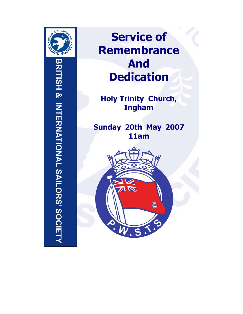

# **Service of Remembrance And Dedication**

**Holy Trinity Church, Ingham** 

Sunday 20th May 2007 11am

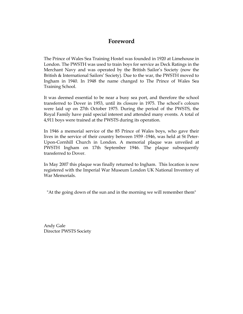# **Foreword**

The Prince of Wales Sea Training Hostel was founded in 1920 at Limehouse in London. The PWSTH was used to train boys for service as Deck Ratings in the Merchant Navy and was operated by the British Sailor's Society (now the British & International Sailors' Society). Due to the war, the PWSTH moved to Ingham in 1940. In 1948 the name changed to The Prince of Wales Sea Training School.

It was deemed essential to be near a busy sea port, and therefore the school transferred to Dover in 1953, until its closure in 1975. The school's colours were laid up on 27th October 1975. During the period of the PWSTS, the Royal Family have paid special interest and attended many events. A total of 4,911 boys were trained at the PWSTS during its operation.

In 1946 a memorial service of the 85 Prince of Wales boys, who gave their lives in the service of their country between 1939 -1946, was held at St Peter-Upon-Cornhill Church in London. A memorial plaque was unveiled at PWSTH Ingham on 17th September 1946. The plaque subsequently transferred to Dover.

In May 2007 this plaque was finally returned to Ingham. This location is now registered with the Imperial War Museum London UK National Inventory of War Memorials.

"At the going down of the sun and in the morning we will remember them"

Andy Gale Director PWSTS Society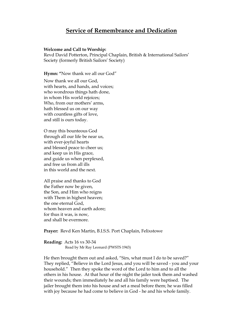# **Service of Remembrance and Dedication**

#### **Welcome and Call to Worship:**

Revd David Potterton, Principal Chaplain, British & International Sailors' Society (formerly British Sailors' Society)

**Hymn: "**Now thank we all our God"

Now thank we all our God, with hearts, and hands, and voices; who wondrous things hath done, in whom His world rejoices; Who, from our mothers' arms, hath blessed us on our way with countless gifts of love, and still is ours today.

O may this bounteous God through all our life be near us, with ever-joyful hearts and blessed peace to cheer us; and keep us in His grace, and guide us when perplexed, and free us from all ills in this world and the next.

All praise and thanks to God the Father now be given, the Son, and Him who reigns with Them in highest heaven; the one eternal God, whom heaven and earth adore; for thus it was, is now, and shall be evermore.

**Prayer:** Revd Ken Martin, B.I.S.S. Port Chaplain, Felixstowe

**Reading:** Acts 16 vs 30-34 Read by Mr Ray Leonard (PWSTS 1943)

He then brought them out and asked, "Sirs, what must I do to be saved?" They replied, "Believe in the Lord Jesus, and you will be saved - you and your household." Then they spoke the word of the Lord to him and to all the others in his house. At that hour of the night the jailer took them and washed their wounds; then immediately he and all his family were baptised. The jailer brought them into his house and set a meal before them; he was filled with joy because he had come to believe in God - he and his whole family.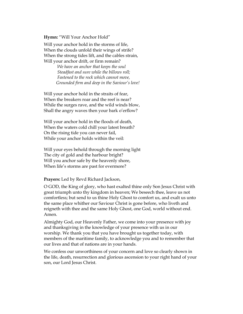**Hymn:** "Will Your Anchor Hold"

Will your anchor hold in the storms of life, When the clouds unfold their wings of strife? When the strong tides lift, and the cables strain, Will your anchor drift, or firm remain?

> *We have an anchor that keeps the soul Steadfast and sure while the billows roll; Fastened to the rock which cannot move, Grounded firm and deep in the Saviour's love!*

Will your anchor hold in the straits of fear, When the breakers roar and the reef is near? While the surges rave, and the wild winds blow, Shall the angry waves then your bark o'erflow?

Will your anchor hold in the floods of death, When the waters cold chill your latest breath? On the rising tide you can never fail, While your anchor holds within the veil:

Will your eyes behold through the morning light The city of gold and the harbour bright? Will you anchor safe by the heavenly shore, When life's storms are past for evermore?

#### **Prayers:** Led by Revd Richard Jackson,

O GOD, the King of glory, who hast exalted thine only Son Jesus Christ with great triumph unto thy kingdom in heaven; We beseech thee, leave us not comfortless; but send to us thine Holy Ghost to comfort us, and exalt us unto the same place whither our Saviour Christ is gone before, who liveth and reigneth with thee and the same Holy Ghost, one God, world without end. Amen.

Almighty God, our Heavenly Father, we come into your presence with joy and thanksgiving in the knowledge of your presence with us in our worship. We thank you that you have brought us together today, with members of the maritime family, to acknowledge you and to remember that our lives and that of nations are in your hands.

We confess our unworthiness of your concern and love so clearly shown in the life, death, resurrection and glorious ascension to your right hand of your son, our Lord Jesus Christ.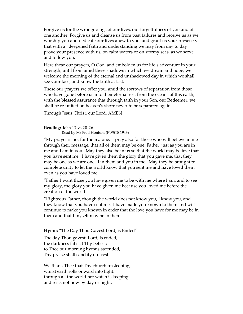Forgive us for the wrongdoings of our lives, our forgetfulness of you and of one another. Forgive us and cleanse us from past failures and receive us as we worship you and dedicate our lives anew to you: and grant us your presence, that with a deepened faith and understanding we may from day to day prove your presence with us, on calm waters or on stormy seas, as we serve and follow you.

Here these our prayers, O God, and embolden us for life's adventure in your strength, until from amid these shadows in which we dream and hope, we welcome the morning of the eternal and unshadowed day in which we shall see your face, and know the truth at last.

These our prayers we offer you, amid the sorrows of separation from those who have gone before us into their eternal rest from the oceans of this earth, with the blessed assurance that through faith in your Son, our Redeemer, we shall be re-united on heaven's shore never to be separated again.

Through Jesus Christ, our Lord. AMEN

**Reading:** John 17 vs 20-26 Read by Mr Fred Honisett (PWSTS 1943)

"My prayer is not for them alone. I pray also for those who will believe in me through their message, that all of them may be one, Father, just as you are in me and I am in you. May they also be in us so that the world may believe that you have sent me. I have given them the glory that you gave me, that they may be one as we are one: I in them and you in me. May they be brought to complete unity to let the world know that you sent me and have loved them even as you have loved me.

"Father I want those you have given me to be with me where I am; and to see my glory, the glory you have given me because you loved me before the creation of the world.

"Righteous Father, though the world does not know you, I know you, and they know that you have sent me. I have made you known to them and will continue to make you known in order that the love you have for me may be in them and that I myself may be in them."

**Hymn: "**The Day Thou Gavest Lord, is Ended"

The day Thou gavest, Lord, is ended, the darkness falls at Thy behest; to Thee our morning hymns ascended, Thy praise shall sanctify our rest.

We thank Thee that Thy church unsleeping, whilst earth rolls onward into light, through all the world her watch is keeping, and rests not now by day or night.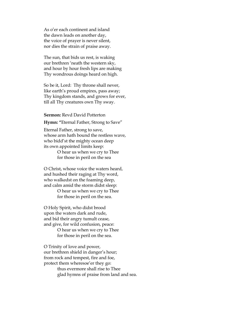As o'er each continent and island the dawn leads on another day, the voice of prayer is never silent, nor dies the strain of praise away.

The sun, that bids us rest, is waking our brethren 'neath the western sky, and hour by hour fresh lips are making Thy wondrous doings heard on high.

So be it, Lord: Thy throne shall never, like earth's proud empires, pass away; Thy kingdom stands, and grows for ever, till all Thy creatures own Thy sway.

#### **Sermon:** Revd David Potterton

**Hymn: "**Eternal Father, Strong to Save"

Eternal Father, strong to save, whose arm hath bound the restless wave, who bidd'st the mighty ocean deep its own appointed limits keep:

> O hear us when we cry to Thee for those in peril on the sea

O Christ, whose voice the waters heard, and hushed their raging at Thy word, who walkedst on the foaming deep, and calm amid the storm didst sleep:

> O hear us when we cry to Thee for those in peril on the sea.

O Holy Spirit, who didst brood upon the waters dark and rude, and bid their angry tumult cease, and give, for wild confusion, peace:

> O hear us when we cry to Thee for those in peril on the sea.

O Trinity of love and power, our brethren shield in danger's hour; from rock and tempest, fire and foe, protect them wheresoe'er they go: thus evermore shall rise to Thee glad hymns of praise from land and sea.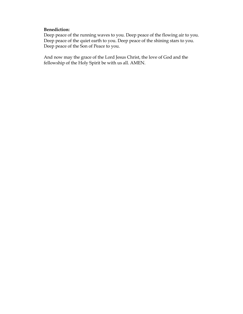## **Benediction:**

Deep peace of the running waves to you. Deep peace of the flowing air to you. Deep peace of the quiet earth to you. Deep peace of the shining stars to you. Deep peace of the Son of Peace to you.

And now may the grace of the Lord Jesus Christ, the love of God and the fellowship of the Holy Spirit be with us all. AMEN.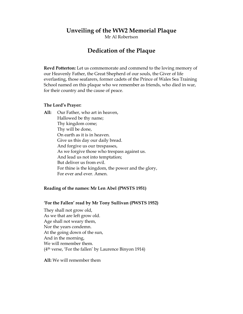# **Unveiling of the WW2 Memorial Plaque**

Mr Al Robertson

# **Dedication of the Plaque**

**Revd Potterton:** Let us commemorate and commend to the loving memory of our Heavenly Father, the Great Shepherd of our souls, the Giver of life everlasting, those seafarers, former cadets of the Prince of Wales Sea Training School named on this plaque who we remember as friends, who died in war, for their country and the cause of peace.

#### **The Lord's Prayer:**

**All:** Our Father, who art in heaven, Hallowed be thy name; Thy kingdom come; Thy will be done, On earth as it is in heaven. Give us this day our daily bread. And forgive us our trespasses, As we forgive those who trespass against us. And lead us not into temptation; But deliver us from evil. For thine is the kingdom, the power and the glory, For ever and ever. Amen.

#### **Reading of the names: Mr Len Abel (PWSTS 1951)**

#### **'For the Fallen' read by Mr Tony Sullivan (PWSTS 1952)**

They shall not grow old, As we that are left grow old. Age shall not weary them, Nor the years condemn. At the going down of the sun, And in the morning, We will remember them. (4th verse, 'For the fallen' by Laurence Binyon 1914)

**All:** We will remember them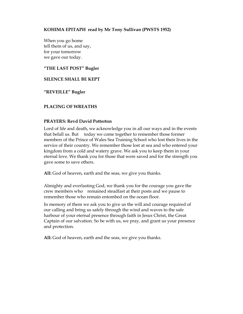## **KOHIMA EPITAPH read by Mr Tony Sullivan (PWSTS 1952)**

When you go home tell them of us, and say, for your tomorrow we gave our today.

**"THE LAST POST" Bugler** 

## **SILENCE SHALL BE KEPT**

**"REVEILLE" Bugler** 

# **PLACING OF WREATHS**

## **PRAYERS: Revd David Potterton**

Lord of life and death, we acknowledge you in all our ways and in the events that befall us. But today we come together to remember those former members of the Prince of Wales Sea Training School who lost their lives in the service of their country. We remember those lost at sea and who entered your kingdom from a cold and watery grave. We ask you to keep them in your eternal love. We thank you for those that were saved and for the strength you gave some to save others.

**All:** God of heaven, earth and the seas, we give you thanks.

Almighty and everlasting God, we thank you for the courage you gave the crew members who remained steadfast at their posts and we pause to remember those who remain entombed on the ocean floor.

In memory of them we ask you to give us the will and courage required of our calling and bring us safely through the wind and waves to the safe harbour of your eternal presence through faith in Jesus Christ, the Great Captain of our salvation. So be with us, we pray, and grant us your presence and protection.

**All:** God of heaven, earth and the seas, we give you thanks.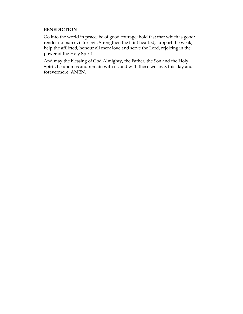## **BENEDICTION**

Go into the world in peace; be of good courage; hold fast that which is good; render no man evil for evil. Strengthen the faint hearted, support the weak, help the afflicted, honour all men; love and serve the Lord, rejoicing in the power of the Holy Spirit.

And may the blessing of God Almighty, the Father, the Son and the Holy Spirit, be upon us and remain with us and with those we love, this day and forevermore. AMEN.